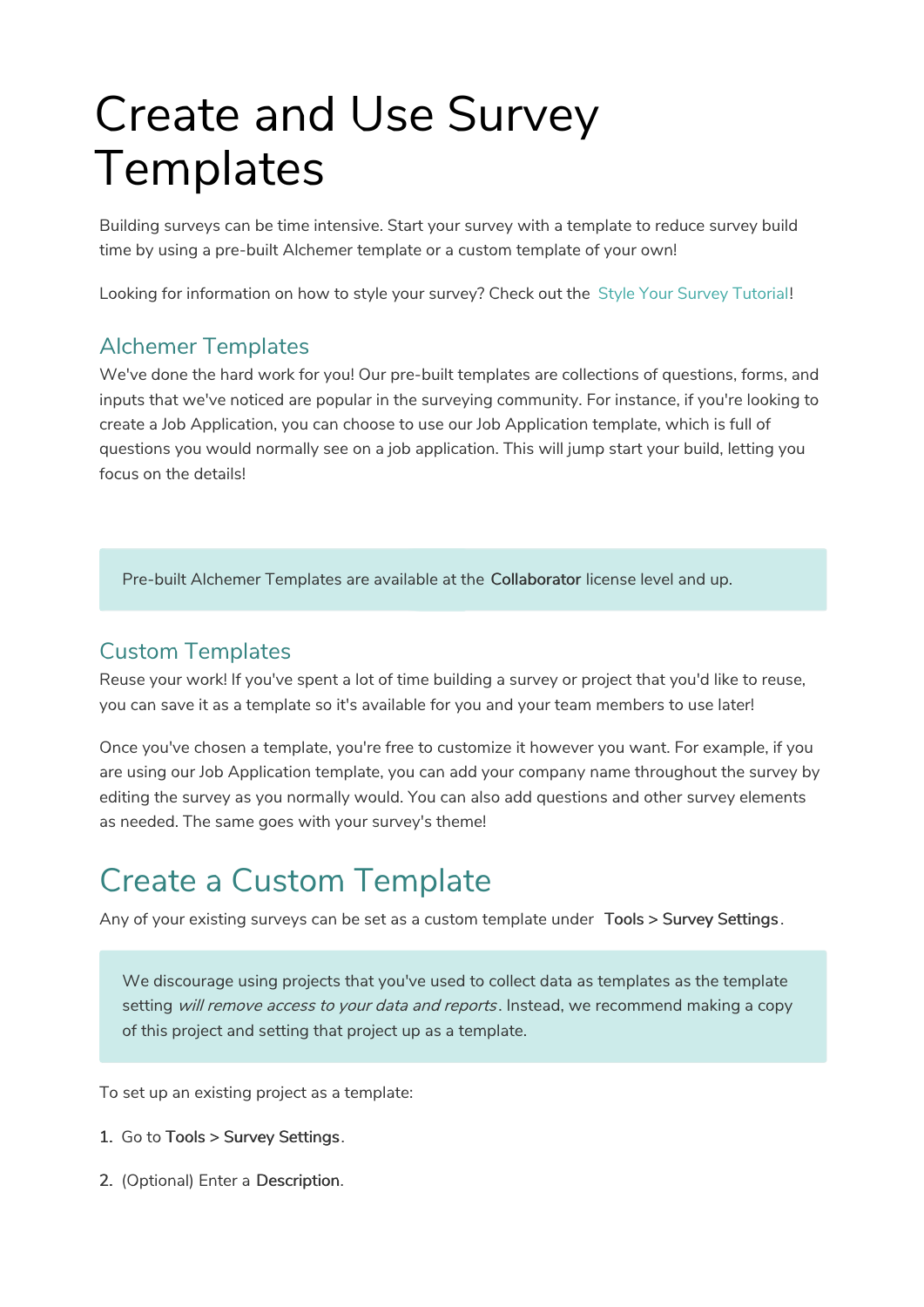# Create and Use Survey **Templates**

Building surveys can be time intensive. Start your survey with a template to reduce survey build time by using a pre-built Alchemer template or a custom template of your own!

Looking for information on how to style your survey? Check out the Style Your Survey Tutorial!

#### Alchemer Templates

We've done the hard work for you! Our pre-built templates are collections of questions, forms, and inputs that we've noticed are popular in the surveying community. For instance, if you're looking to create a Job Application, you can choose to use our Job Application template, which is full of questions you would normally see on a job application. This will jump start your build, letting you focus on the details!

Pre-built Alchemer Templates are available at the Collaborator license level and up.

#### Custom Templates

Reuse your work! If you've spent a lot of time building a survey or project that you'd like to reuse, you can save it as a template so it's available for you and your team members to use later!

Once you've chosen a template, you're free to customize it however you want. For example, if you are using our Job Application template, you can add your company name throughout the survey by editing the survey as you normally would. You can also add questions and other survey elements as needed. The same goes with your survey's theme!

### Create a Custom Template

Any of your existing surveys can be set as a custom template under Tools > Survey Settings .

We discourage using projects that you've used to collect data as templates as the template setting will remove access to your data and reports. Instead, we recommend making a copy of this project and setting that project up as a template.

To set up an existing project as a template:

- 1. Go to Tools > Survey Settings.
- 2. (Optional) Enter a Description.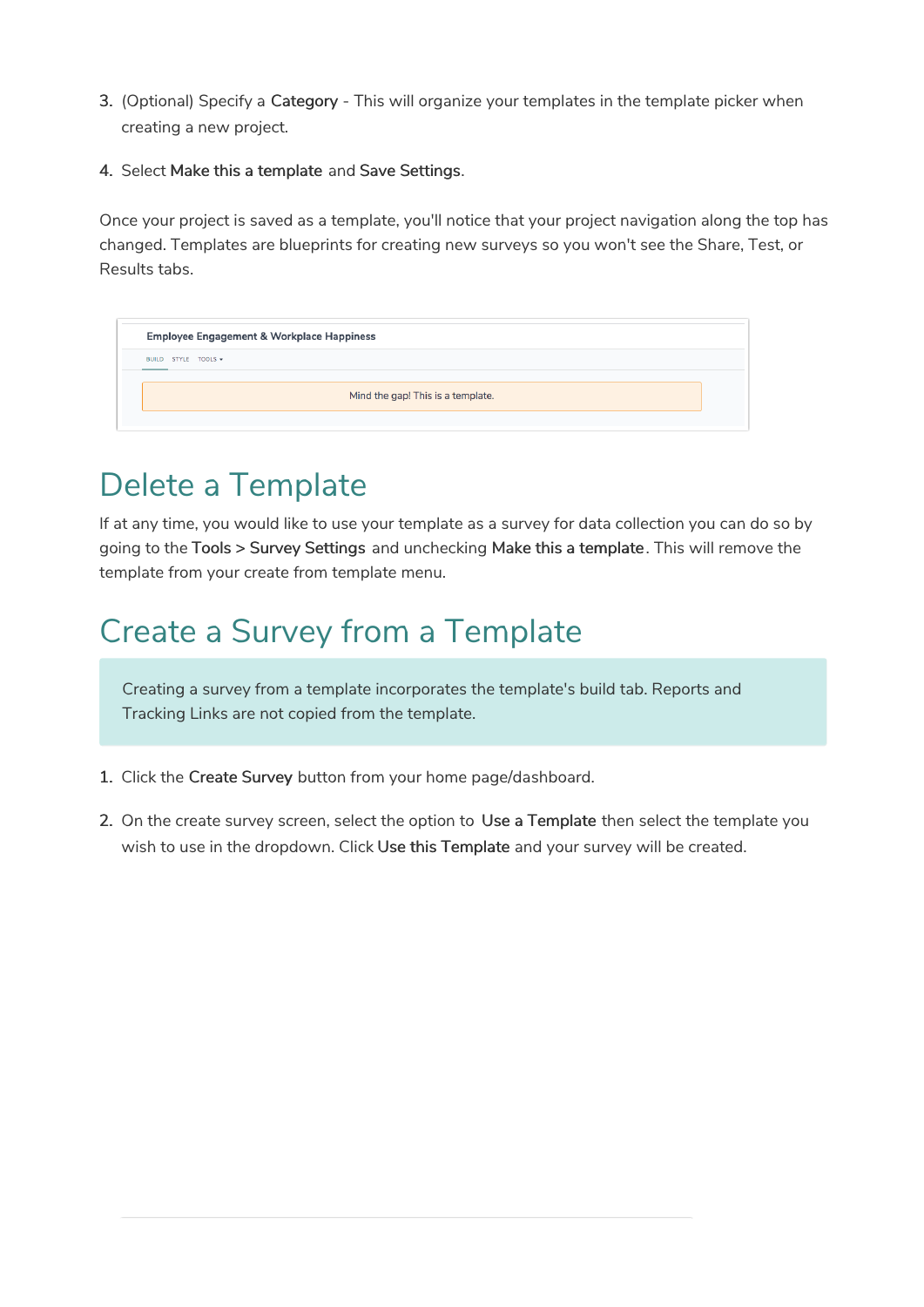- 3. (Optional) Specify a Category This will organize your templates in the template picker when creating a new project.
- 4. Select Make this a template and Save Settings.

Once your project is saved as a template, you'll notice that your project navigation along the top has changed. Templates are blueprints for creating new surveys so you won't see the Share, Test, or Results tabs.

| <b>Employee Engagement &amp; Workplace Happiness</b> |  |
|------------------------------------------------------|--|
| BUILD STYLE TOOLS -                                  |  |
| Mind the gap! This is a template.                    |  |
|                                                      |  |

## Delete a Template

If at any time, you would like to use your template as a survey for data collection you can do so by going to the Tools > Survey Settings and unchecking Make this a template. This will remove the template from your create from template menu.

### Create a Survey from a Template

Creating a survey from a template incorporates the template's build tab. Reports and Tracking Links are not copied from the template.

- 1. Click the Create Survey button from your home page/dashboard.
- 2. On the create survey screen, select the option to Use a Template then select the template you wish to use in the dropdown. Click Use this Template and your survey will be created.